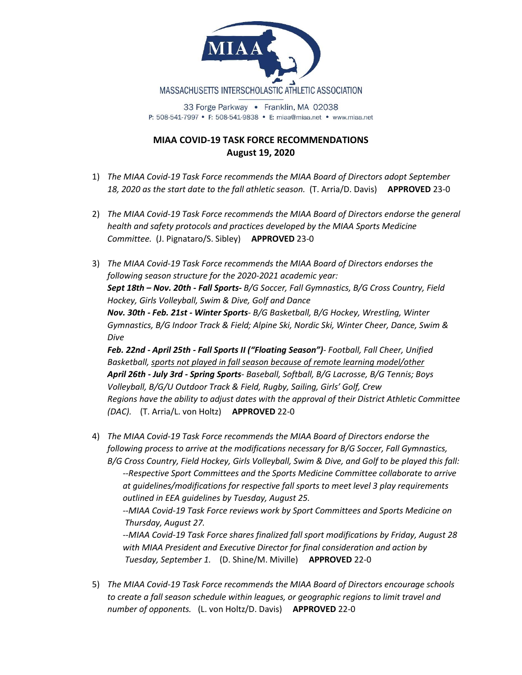

33 Forge Parkway • Franklin, MA 02038 P: 508-541-7997 • F: 508-541-9838 • E: miaa@miaa.net • www.miaa.net

## **MIAA COVID-19 TASK FORCE RECOMMENDATIONS August 19, 2020**

- 1) *The MIAA Covid-19 Task Force recommends the MIAA Board of Directors adopt September 18, 2020 as the start date to the fall athletic season.* (T. Arria/D. Davis) **APPROVED** 23-0
- 2) *The MIAA Covid-19 Task Force recommends the MIAA Board of Directors endorse the general health and safety protocols and practices developed by the MIAA Sports Medicine Committee.* (J. Pignataro/S. Sibley) **APPROVED** 23-0

3) *The MIAA Covid-19 Task Force recommends the MIAA Board of Directors endorses the following season structure for the 2020-2021 academic year: Sept 18th – Nov. 20th - Fall Sports- B/G Soccer, Fall Gymnastics, B/G Cross Country, Field Hockey, Girls Volleyball, Swim & Dive, Golf and Dance Nov. 30th - Feb. 21st - Winter Sports- B/G Basketball, B/G Hockey, Wrestling, Winter Gymnastics, B/G Indoor Track & Field; Alpine Ski, Nordic Ski, Winter Cheer, Dance, Swim & Dive Feb. 22nd - April 25th - Fall Sports II ("Floating Season")- Football, Fall Cheer, Unified Basketball, sports not played in fall season because of remote learning model/other April 26th - July 3rd - Spring Sports- Baseball, Softball, B/G Lacrosse, B/G Tennis; Boys Volleyball, B/G/U Outdoor Track & Field, Rugby, Sailing, Girls' Golf, Crew Regions have the ability to adjust dates with the approval of their District Athletic Committee* 

*(DAC).* (T. Arria/L. von Holtz) **APPROVED** 22-0

4) *The MIAA Covid-19 Task Force recommends the MIAA Board of Directors endorse the following process to arrive at the modifications necessary for B/G Soccer, Fall Gymnastics, B/G Cross Country, Field Hockey, Girls Volleyball, Swim & Dive, and Golf to be played this fall:*

*--Respective Sport Committees and the Sports Medicine Committee collaborate to arrive at guidelines/modifications for respective fall sports to meet level 3 play requirements outlined in EEA guidelines by Tuesday, August 25.*

*--MIAA Covid-19 Task Force reviews work by Sport Committees and Sports Medicine on Thursday, August 27.*

*--MIAA Covid-19 Task Force shares finalized fall sport modifications by Friday, August 28 with MIAA President and Executive Director for final consideration and action by Tuesday, September 1.* (D. Shine/M. Miville) **APPROVED** 22-0

5) *The MIAA Covid-19 Task Force recommends the MIAA Board of Directors encourage schools to create a fall season schedule within leagues, or geographic regions to limit travel and number of opponents.* (L. von Holtz/D. Davis) **APPROVED** 22-0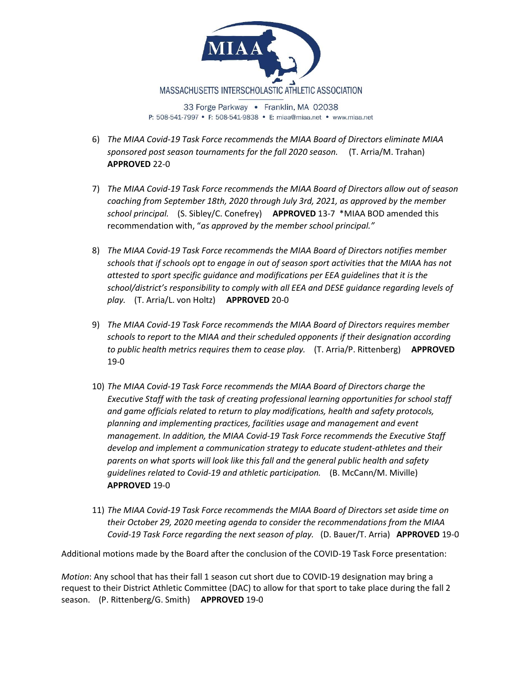

- 6) *The MIAA Covid-19 Task Force recommends the MIAA Board of Directors eliminate MIAA sponsored post season tournaments for the fall 2020 season.* (T. Arria/M. Trahan) **APPROVED** 22-0
- 7) *The MIAA Covid-19 Task Force recommends the MIAA Board of Directors allow out of season coaching from September 18th, 2020 through July 3rd, 2021, as approved by the member school principal.* (S. Sibley/C. Conefrey) **APPROVED** 13-7 \*MIAA BOD amended this recommendation with, "*as approved by the member school principal."*
- 8) *The MIAA Covid-19 Task Force recommends the MIAA Board of Directors notifies member schools that if schools opt to engage in out of season sport activities that the MIAA has not attested to sport specific guidance and modifications per EEA guidelines that it is the school/district's responsibility to comply with all EEA and DESE guidance regarding levels of play.* (T. Arria/L. von Holtz) **APPROVED** 20-0
- 9) *The MIAA Covid-19 Task Force recommends the MIAA Board of Directors requires member schools to report to the MIAA and their scheduled opponents if their designation according to public health metrics requires them to cease play.* (T. Arria/P. Rittenberg) **APPROVED** 19-0
- 10) *The MIAA Covid-19 Task Force recommends the MIAA Board of Directors charge the Executive Staff with the task of creating professional learning opportunities for school staff and game officials related to return to play modifications, health and safety protocols, planning and implementing practices, facilities usage and management and event management. In addition, the MIAA Covid-19 Task Force recommends the Executive Staff develop and implement a communication strategy to educate student-athletes and their parents on what sports will look like this fall and the general public health and safety guidelines related to Covid-19 and athletic participation.* (B. McCann/M. Miville) **APPROVED** 19-0
- 11) *The MIAA Covid-19 Task Force recommends the MIAA Board of Directors set aside time on their October 29, 2020 meeting agenda to consider the recommendations from the MIAA Covid-19 Task Force regarding the next season of play.* (D. Bauer/T. Arria) **APPROVED** 19-0

Additional motions made by the Board after the conclusion of the COVID-19 Task Force presentation:

*Motion*: Any school that has their fall 1 season cut short due to COVID-19 designation may bring a request to their District Athletic Committee (DAC) to allow for that sport to take place during the fall 2 season. (P. Rittenberg/G. Smith) **APPROVED** 19-0